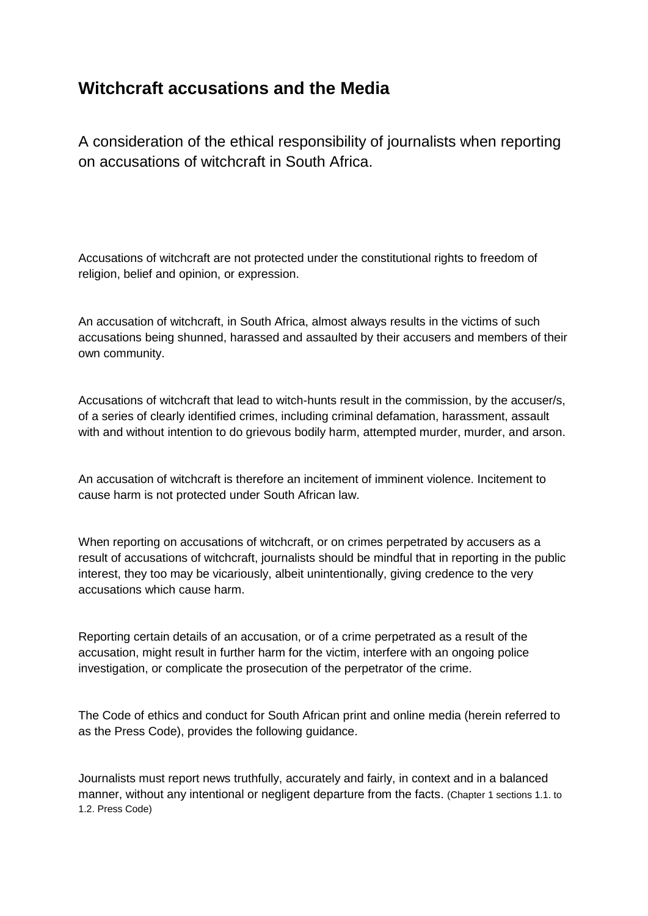## **Witchcraft accusations and the Media**

A consideration of the ethical responsibility of journalists when reporting on accusations of witchcraft in South Africa.

Accusations of witchcraft are not protected under the constitutional rights to freedom of religion, belief and opinion, or expression.

An accusation of witchcraft, in South Africa, almost always results in the victims of such accusations being shunned, harassed and assaulted by their accusers and members of their own community.

Accusations of witchcraft that lead to witch-hunts result in the commission, by the accuser/s, of a series of clearly identified crimes, including criminal defamation, harassment, assault with and without intention to do grievous bodily harm, attempted murder, murder, and arson.

An accusation of witchcraft is therefore an incitement of imminent violence. Incitement to cause harm is not protected under South African law.

When reporting on accusations of witchcraft, or on crimes perpetrated by accusers as a result of accusations of witchcraft, journalists should be mindful that in reporting in the public interest, they too may be vicariously, albeit unintentionally, giving credence to the very accusations which cause harm.

Reporting certain details of an accusation, or of a crime perpetrated as a result of the accusation, might result in further harm for the victim, interfere with an ongoing police investigation, or complicate the prosecution of the perpetrator of the crime.

The Code of ethics and conduct for South African print and online media (herein referred to as the Press Code), provides the following guidance.

Journalists must report news truthfully, accurately and fairly, in context and in a balanced manner, without any intentional or negligent departure from the facts. (Chapter 1 sections 1.1. to 1.2. Press Code)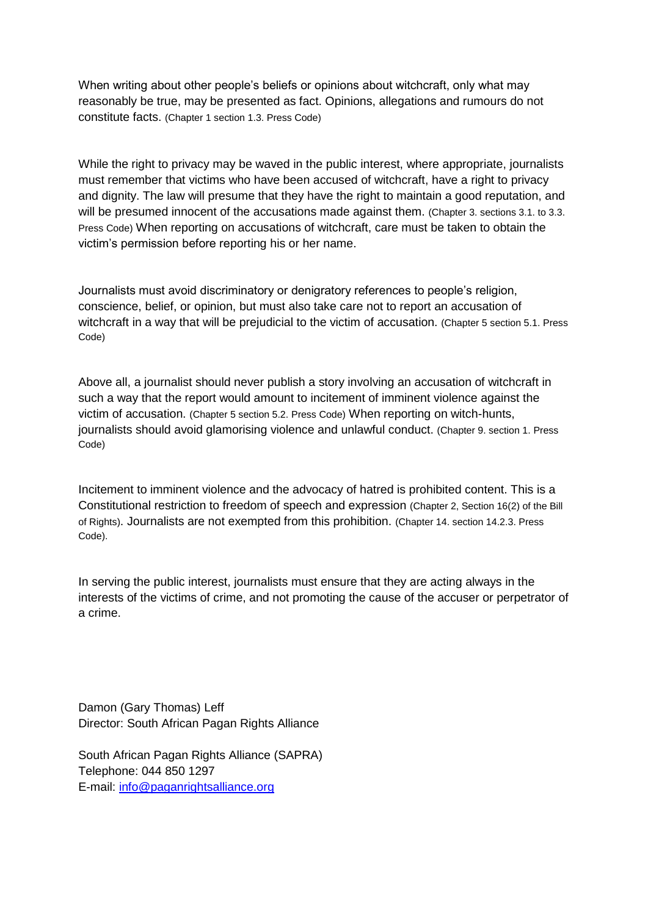When writing about other people's beliefs or opinions about witchcraft, only what may reasonably be true, may be presented as fact. Opinions, allegations and rumours do not constitute facts. (Chapter 1 section 1.3. Press Code)

While the right to privacy may be waved in the public interest, where appropriate, journalists must remember that victims who have been accused of witchcraft, have a right to privacy and dignity. The law will presume that they have the right to maintain a good reputation, and will be presumed innocent of the accusations made against them. (Chapter 3. sections 3.1. to 3.3. Press Code) When reporting on accusations of witchcraft, care must be taken to obtain the victim's permission before reporting his or her name.

Journalists must avoid discriminatory or denigratory references to people's religion, conscience, belief, or opinion, but must also take care not to report an accusation of witchcraft in a way that will be prejudicial to the victim of accusation. (Chapter 5 section 5.1. Press Code)

Above all, a journalist should never publish a story involving an accusation of witchcraft in such a way that the report would amount to incitement of imminent violence against the victim of accusation. (Chapter 5 section 5.2. Press Code) When reporting on witch-hunts, journalists should avoid glamorising violence and unlawful conduct. (Chapter 9. section 1. Press Code)

Incitement to imminent violence and the advocacy of hatred is prohibited content. This is a Constitutional restriction to freedom of speech and expression (Chapter 2, Section 16(2) of the Bill of Rights). Journalists are not exempted from this prohibition. (Chapter 14. section 14.2.3. Press Code).

In serving the public interest, journalists must ensure that they are acting always in the interests of the victims of crime, and not promoting the cause of the accuser or perpetrator of a crime.

Damon (Gary Thomas) Leff Director: South African Pagan Rights Alliance

South African Pagan Rights Alliance (SAPRA) Telephone: 044 850 1297 E-mail: [info@paganrightsalliance.org](mailto:info@paganrightsalliance.org)